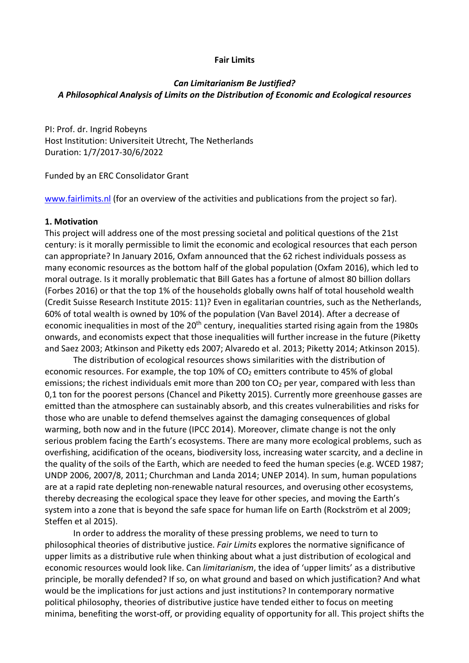#### **Fair Limits**

# *Can Limitarianism Be Justified? A Philosophical Analysis of Limits on the Distribution of Economic and Ecological resources*

PI: Prof. dr. Ingrid Robeyns Host Institution: Universiteit Utrecht, The Netherlands Duration: 1/7/2017-30/6/2022

Funded by an ERC Consolidator Grant

www.fairlimits.nl (for an overview of the activities and publications from the project so far).

#### **1. Motivation**

This project will address one of the most pressing societal and political questions of the 21st century: is it morally permissible to limit the economic and ecological resources that each person can appropriate? In January 2016, Oxfam announced that the 62 richest individuals possess as many economic resources as the bottom half of the global population (Oxfam 2016), which led to moral outrage. Is it morally problematic that Bill Gates has a fortune of almost 80 billion dollars (Forbes 2016) or that the top 1% of the households globally owns half of total household wealth (Credit Suisse Research Institute 2015: 11)? Even in egalitarian countries, such as the Netherlands, 60% of total wealth is owned by 10% of the population (Van Bavel 2014). After a decrease of economic inequalities in most of the 20<sup>th</sup> century, inequalities started rising again from the 1980s onwards, and economists expect that those inequalities will further increase in the future (Piketty and Saez 2003; Atkinson and Piketty eds 2007; Alvaredo et al. 2013; Piketty 2014; Atkinson 2015).

The distribution of ecological resources shows similarities with the distribution of economic resources. For example, the top 10% of  $CO<sub>2</sub>$  emitters contribute to 45% of global emissions; the richest individuals emit more than 200 ton  $CO<sub>2</sub>$  per year, compared with less than 0,1 ton for the poorest persons (Chancel and Piketty 2015). Currently more greenhouse gasses are emitted than the atmosphere can sustainably absorb, and this creates vulnerabilities and risks for those who are unable to defend themselves against the damaging consequences of global warming, both now and in the future (IPCC 2014). Moreover, climate change is not the only serious problem facing the Earth's ecosystems. There are many more ecological problems, such as overfishing, acidification of the oceans, biodiversity loss, increasing water scarcity, and a decline in the quality of the soils of the Earth, which are needed to feed the human species (e.g. WCED 1987; UNDP 2006, 2007/8, 2011; Churchman and Landa 2014; UNEP 2014). In sum, human populations are at a rapid rate depleting non-renewable natural resources, and overusing other ecosystems, thereby decreasing the ecological space they leave for other species, and moving the Earth's system into a zone that is beyond the safe space for human life on Earth (Rockström et al 2009; Steffen et al 2015).

In order to address the morality of these pressing problems, we need to turn to philosophical theories of distributive justice. *Fair Limits* explores the normative significance of upper limits as a distributive rule when thinking about what a just distribution of ecological and economic resources would look like. Can *limitarianism*, the idea of 'upper limits' as a distributive principle, be morally defended? If so, on what ground and based on which justification? And what would be the implications for just actions and just institutions? In contemporary normative political philosophy, theories of distributive justice have tended either to focus on meeting minima, benefiting the worst-off, or providing equality of opportunity for all. This project shifts the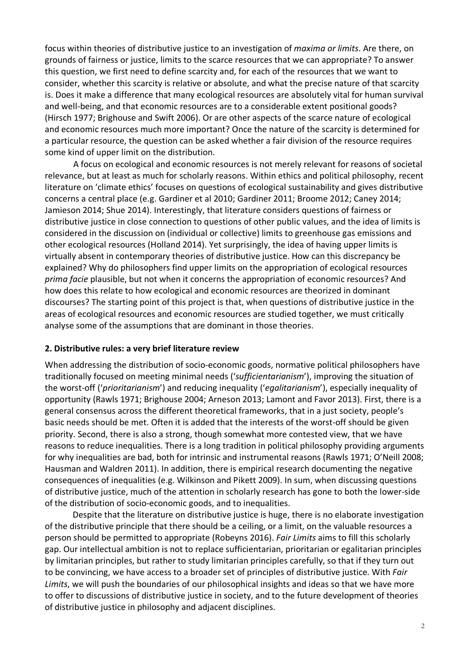focus within theories of distributive justice to an investigation of *maxima or limits*. Are there, on grounds of fairness or justice, limits to the scarce resources that we can appropriate? To answer this question, we first need to define scarcity and, for each of the resources that we want to consider, whether this scarcity is relative or absolute, and what the precise nature of that scarcity is. Does it make a difference that many ecological resources are absolutely vital for human survival and well-being, and that economic resources are to a considerable extent positional goods? (Hirsch 1977; Brighouse and Swift 2006). Or are other aspects of the scarce nature of ecological and economic resources much more important? Once the nature of the scarcity is determined for a particular resource, the question can be asked whether a fair division of the resource requires some kind of upper limit on the distribution.

A focus on ecological and economic resources is not merely relevant for reasons of societal relevance, but at least as much for scholarly reasons. Within ethics and political philosophy, recent literature on 'climate ethics' focuses on questions of ecological sustainability and gives distributive concerns a central place (e.g. Gardiner et al 2010; Gardiner 2011; Broome 2012; Caney 2014; Jamieson 2014; Shue 2014). Interestingly, that literature considers questions of fairness or distributive justice in close connection to questions of other public values, and the idea of limits is considered in the discussion on (individual or collective) limits to greenhouse gas emissions and other ecological resources (Holland 2014). Yet surprisingly, the idea of having upper limits is virtually absent in contemporary theories of distributive justice. How can this discrepancy be explained? Why do philosophers find upper limits on the appropriation of ecological resources *prima facie* plausible, but not when it concerns the appropriation of economic resources? And how does this relate to how ecological and economic resources are theorized in dominant discourses? The starting point of this project is that, when questions of distributive justice in the areas of ecological resources and economic resources are studied together, we must critically analyse some of the assumptions that are dominant in those theories.

## **2. Distributive rules: a very brief literature review**

When addressing the distribution of socio-economic goods, normative political philosophers have traditionally focused on meeting minimal needs ('*sufficientarianism*'), improving the situation of the worst-off ('*prioritarianism*') and reducing inequality ('*egalitarianism*'), especially inequality of opportunity (Rawls 1971; Brighouse 2004; Arneson 2013; Lamont and Favor 2013). First, there is a general consensus across the different theoretical frameworks, that in a just society, people's basic needs should be met. Often it is added that the interests of the worst-off should be given priority. Second, there is also a strong, though somewhat more contested view, that we have reasons to reduce inequalities. There is a long tradition in political philosophy providing arguments for why inequalities are bad, both for intrinsic and instrumental reasons (Rawls 1971; O'Neill 2008; Hausman and Waldren 2011). In addition, there is empirical research documenting the negative consequences of inequalities (e.g. Wilkinson and Pikett 2009). In sum, when discussing questions of distributive justice, much of the attention in scholarly research has gone to both the lower-side of the distribution of socio-economic goods, and to inequalities.

Despite that the literature on distributive justice is huge, there is no elaborate investigation of the distributive principle that there should be a ceiling, or a limit, on the valuable resources a person should be permitted to appropriate (Robeyns 2016). *Fair Limits* aims to fill this scholarly gap. Our intellectual ambition is not to replace sufficientarian, prioritarian or egalitarian principles by limitarian principles, but rather to study limitarian principles carefully, so that if they turn out to be convincing, we have access to a broader set of principles of distributive justice. With *Fair Limits*, we will push the boundaries of our philosophical insights and ideas so that we have more to offer to discussions of distributive justice in society, and to the future development of theories of distributive justice in philosophy and adjacent disciplines.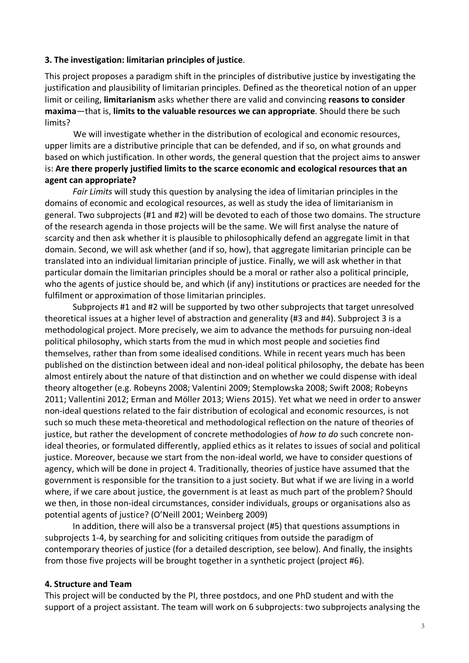## **3. The investigation: limitarian principles of justice**.

This project proposes a paradigm shift in the principles of distributive justice by investigating the justification and plausibility of limitarian principles. Defined as the theoretical notion of an upper limit or ceiling, **limitarianism** asks whether there are valid and convincing **reasons to consider maxima**—that is, **limits to the valuable resources we can appropriate**. Should there be such limits?

We will investigate whether in the distribution of ecological and economic resources, upper limits are a distributive principle that can be defended, and if so, on what grounds and based on which justification. In other words, the general question that the project aims to answer is: **Are there properly justified limits to the scarce economic and ecological resources that an agent can appropriate?** 

*Fair Limits* will study this question by analysing the idea of limitarian principles in the domains of economic and ecological resources, as well as study the idea of limitarianism in general. Two subprojects (#1 and #2) will be devoted to each of those two domains. The structure of the research agenda in those projects will be the same. We will first analyse the nature of scarcity and then ask whether it is plausible to philosophically defend an aggregate limit in that domain. Second, we will ask whether (and if so, how), that aggregate limitarian principle can be translated into an individual limitarian principle of justice. Finally, we will ask whether in that particular domain the limitarian principles should be a moral or rather also a political principle, who the agents of justice should be, and which (if any) institutions or practices are needed for the fulfilment or approximation of those limitarian principles.

Subprojects #1 and #2 will be supported by two other subprojects that target unresolved theoretical issues at a higher level of abstraction and generality (#3 and #4). Subproject 3 is a methodological project. More precisely, we aim to advance the methods for pursuing non-ideal political philosophy, which starts from the mud in which most people and societies find themselves, rather than from some idealised conditions. While in recent years much has been published on the distinction between ideal and non-ideal political philosophy, the debate has been almost entirely about the nature of that distinction and on whether we could dispense with ideal theory altogether (e.g. Robeyns 2008; Valentini 2009; Stemplowska 2008; Swift 2008; Robeyns 2011; Vallentini 2012; Erman and Möller 2013; Wiens 2015). Yet what we need in order to answer non-ideal questions related to the fair distribution of ecological and economic resources, is not such so much these meta-theoretical and methodological reflection on the nature of theories of justice, but rather the development of concrete methodologies of *how to do* such concrete nonideal theories, or formulated differently, applied ethics as it relates to issues of social and political justice. Moreover, because we start from the non-ideal world, we have to consider questions of agency, which will be done in project 4. Traditionally, theories of justice have assumed that the government is responsible for the transition to a just society. But what if we are living in a world where, if we care about justice, the government is at least as much part of the problem? Should we then, in those non-ideal circumstances, consider individuals, groups or organisations also as potential agents of justice? (O'Neill 2001; Weinberg 2009)

In addition, there will also be a transversal project (#5) that questions assumptions in subprojects 1-4, by searching for and soliciting critiques from outside the paradigm of contemporary theories of justice (for a detailed description, see below). And finally, the insights from those five projects will be brought together in a synthetic project (project #6).

#### **4. Structure and Team**

This project will be conducted by the PI, three postdocs, and one PhD student and with the support of a project assistant. The team will work on 6 subprojects: two subprojects analysing the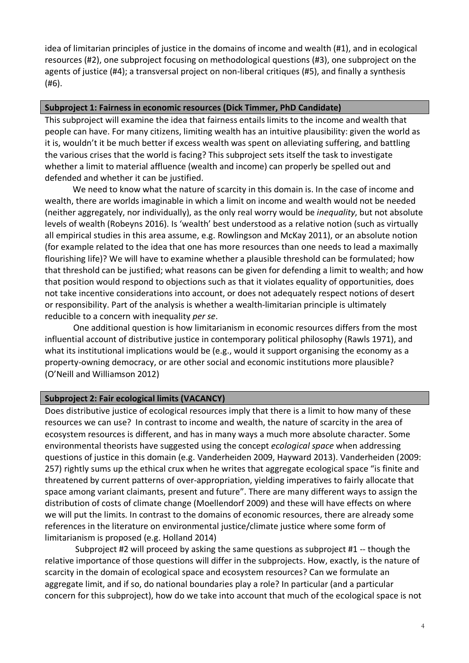idea of limitarian principles of justice in the domains of income and wealth (#1), and in ecological resources (#2), one subproject focusing on methodological questions (#3), one subproject on the agents of justice (#4); a transversal project on non-liberal critiques (#5), and finally a synthesis (#6).

# **Subproject 1: Fairness in economic resources (Dick Timmer, PhD Candidate)**

This subproject will examine the idea that fairness entails limits to the income and wealth that people can have. For many citizens, limiting wealth has an intuitive plausibility: given the world as it is, wouldn't it be much better if excess wealth was spent on alleviating suffering, and battling the various crises that the world is facing? This subproject sets itself the task to investigate whether a limit to material affluence (wealth and income) can properly be spelled out and defended and whether it can be justified.

We need to know what the nature of scarcity in this domain is. In the case of income and wealth, there are worlds imaginable in which a limit on income and wealth would not be needed (neither aggregately, nor individually), as the only real worry would be *inequality*, but not absolute levels of wealth (Robeyns 2016). Is 'wealth' best understood as a relative notion (such as virtually all empirical studies in this area assume, e.g. Rowlingson and McKay 2011), or an absolute notion (for example related to the idea that one has more resources than one needs to lead a maximally flourishing life)? We will have to examine whether a plausible threshold can be formulated; how that threshold can be justified; what reasons can be given for defending a limit to wealth; and how that position would respond to objections such as that it violates equality of opportunities, does not take incentive considerations into account, or does not adequately respect notions of desert or responsibility. Part of the analysis is whether a wealth-limitarian principle is ultimately reducible to a concern with inequality *per se*.

One additional question is how limitarianism in economic resources differs from the most influential account of distributive justice in contemporary political philosophy (Rawls 1971), and what its institutional implications would be (e.g., would it support organising the economy as a property-owning democracy, or are other social and economic institutions more plausible? (O'Neill and Williamson 2012)

## **Subproject 2: Fair ecological limits (VACANCY)**

Does distributive justice of ecological resources imply that there is a limit to how many of these resources we can use? In contrast to income and wealth, the nature of scarcity in the area of ecosystem resources is different, and has in many ways a much more absolute character. Some environmental theorists have suggested using the concept *ecological space* when addressing questions of justice in this domain (e.g. Vanderheiden 2009, Hayward 2013). Vanderheiden (2009: 257) rightly sums up the ethical crux when he writes that aggregate ecological space "is finite and threatened by current patterns of over-appropriation, yielding imperatives to fairly allocate that space among variant claimants, present and future". There are many different ways to assign the distribution of costs of climate change (Moellendorf 2009) and these will have effects on where we will put the limits. In contrast to the domains of economic resources, there are already some references in the literature on environmental justice/climate justice where some form of limitarianism is proposed (e.g. Holland 2014)

Subproject #2 will proceed by asking the same questions as subproject #1 -- though the relative importance of those questions will differ in the subprojects. How, exactly, is the nature of scarcity in the domain of ecological space and ecosystem resources? Can we formulate an aggregate limit, and if so, do national boundaries play a role? In particular (and a particular concern for this subproject), how do we take into account that much of the ecological space is not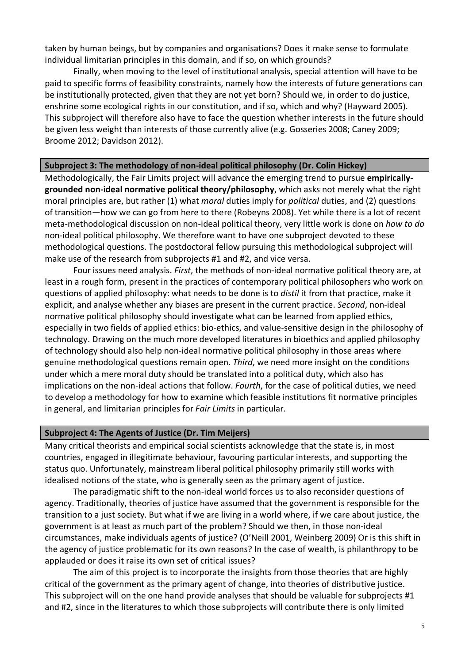taken by human beings, but by companies and organisations? Does it make sense to formulate individual limitarian principles in this domain, and if so, on which grounds?

Finally, when moving to the level of institutional analysis, special attention will have to be paid to specific forms of feasibility constraints, namely how the interests of future generations can be institutionally protected, given that they are not yet born? Should we, in order to do justice, enshrine some ecological rights in our constitution, and if so, which and why? (Hayward 2005). This subproject will therefore also have to face the question whether interests in the future should be given less weight than interests of those currently alive (e.g. Gosseries 2008; Caney 2009; Broome 2012; Davidson 2012).

#### **Subproject 3: The methodology of non-ideal political philosophy (Dr. Colin Hickey)**

Methodologically, the Fair Limits project will advance the emerging trend to pursue **empiricallygrounded non-ideal normative political theory/philosophy**, which asks not merely what the right moral principles are, but rather (1) what *moral* duties imply for *political* duties, and (2) questions of transition—how we can go from here to there (Robeyns 2008). Yet while there is a lot of recent meta-methodological discussion on non-ideal political theory, very little work is done on *how to do* non-ideal political philosophy. We therefore want to have one subproject devoted to these methodological questions. The postdoctoral fellow pursuing this methodological subproject will make use of the research from subprojects #1 and #2, and vice versa.

Four issues need analysis. *First*, the methods of non-ideal normative political theory are, at least in a rough form, present in the practices of contemporary political philosophers who work on questions of applied philosophy: what needs to be done is to *distil* it from that practice, make it explicit, and analyse whether any biases are present in the current practice. *Second*, non-ideal normative political philosophy should investigate what can be learned from applied ethics, especially in two fields of applied ethics: bio-ethics, and value-sensitive design in the philosophy of technology. Drawing on the much more developed literatures in bioethics and applied philosophy of technology should also help non-ideal normative political philosophy in those areas where genuine methodological questions remain open. *Third*, we need more insight on the conditions under which a mere moral duty should be translated into a political duty, which also has implications on the non-ideal actions that follow. *Fourth*, for the case of political duties, we need to develop a methodology for how to examine which feasible institutions fit normative principles in general, and limitarian principles for *Fair Limits* in particular.

#### **Subproject 4: The Agents of Justice (Dr. Tim Meijers)**

Many critical theorists and empirical social scientists acknowledge that the state is, in most countries, engaged in illegitimate behaviour, favouring particular interests, and supporting the status quo. Unfortunately, mainstream liberal political philosophy primarily still works with idealised notions of the state, who is generally seen as the primary agent of justice.

The paradigmatic shift to the non-ideal world forces us to also reconsider questions of agency. Traditionally, theories of justice have assumed that the government is responsible for the transition to a just society. But what if we are living in a world where, if we care about justice, the government is at least as much part of the problem? Should we then, in those non-ideal circumstances, make individuals agents of justice? (O'Neill 2001, Weinberg 2009) Or is this shift in the agency of justice problematic for its own reasons? In the case of wealth, is philanthropy to be applauded or does it raise its own set of critical issues?

The aim of this project is to incorporate the insights from those theories that are highly critical of the government as the primary agent of change, into theories of distributive justice. This subproject will on the one hand provide analyses that should be valuable for subprojects #1 and #2, since in the literatures to which those subprojects will contribute there is only limited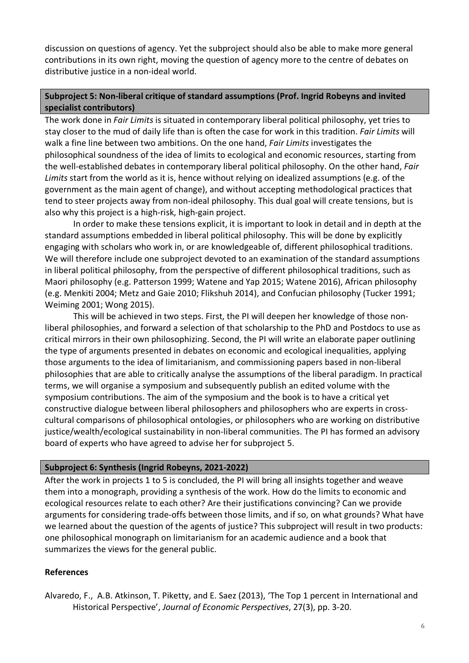discussion on questions of agency. Yet the subproject should also be able to make more general contributions in its own right, moving the question of agency more to the centre of debates on distributive justice in a non-ideal world.

# **Subproject 5: Non-liberal critique of standard assumptions (Prof. Ingrid Robeyns and invited specialist contributors)**

The work done in *Fair Limits* is situated in contemporary liberal political philosophy, yet tries to stay closer to the mud of daily life than is often the case for work in this tradition. *Fair Limits* will walk a fine line between two ambitions. On the one hand, *Fair Limits* investigates the philosophical soundness of the idea of limits to ecological and economic resources, starting from the well-established debates in contemporary liberal political philosophy. On the other hand, *Fair Limits* start from the world as it is, hence without relying on idealized assumptions (e.g. of the government as the main agent of change), and without accepting methodological practices that tend to steer projects away from non-ideal philosophy. This dual goal will create tensions, but is also why this project is a high-risk, high-gain project.

In order to make these tensions explicit, it is important to look in detail and in depth at the standard assumptions embedded in liberal political philosophy. This will be done by explicitly engaging with scholars who work in, or are knowledgeable of, different philosophical traditions. We will therefore include one subproject devoted to an examination of the standard assumptions in liberal political philosophy, from the perspective of different philosophical traditions, such as Maori philosophy (e.g. Patterson 1999; Watene and Yap 2015; Watene 2016), African philosophy (e.g. Menkiti 2004; Metz and Gaie 2010; Flikshuh 2014), and Confucian philosophy (Tucker 1991; Weiming 2001; Wong 2015).

This will be achieved in two steps. First, the PI will deepen her knowledge of those nonliberal philosophies, and forward a selection of that scholarship to the PhD and Postdocs to use as critical mirrors in their own philosophizing. Second, the PI will write an elaborate paper outlining the type of arguments presented in debates on economic and ecological inequalities, applying those arguments to the idea of limitarianism, and commissioning papers based in non-liberal philosophies that are able to critically analyse the assumptions of the liberal paradigm. In practical terms, we will organise a symposium and subsequently publish an edited volume with the symposium contributions. The aim of the symposium and the book is to have a critical yet constructive dialogue between liberal philosophers and philosophers who are experts in crosscultural comparisons of philosophical ontologies, or philosophers who are working on distributive justice/wealth/ecological sustainability in non-liberal communities. The PI has formed an advisory board of experts who have agreed to advise her for subproject 5.

## **Subproject 6: Synthesis (Ingrid Robeyns, 2021-2022)**

After the work in projects 1 to 5 is concluded, the PI will bring all insights together and weave them into a monograph, providing a synthesis of the work. How do the limits to economic and ecological resources relate to each other? Are their justifications convincing? Can we provide arguments for considering trade-offs between those limits, and if so, on what grounds? What have we learned about the question of the agents of justice? This subproject will result in two products: one philosophical monograph on limitarianism for an academic audience and a book that summarizes the views for the general public.

# **References**

Alvaredo, F., A.B. Atkinson, T. Piketty, and E. Saez (2013), 'The Top 1 percent in International and Historical Perspective', *Journal of Economic Perspectives*, 27(3), pp. 3-20.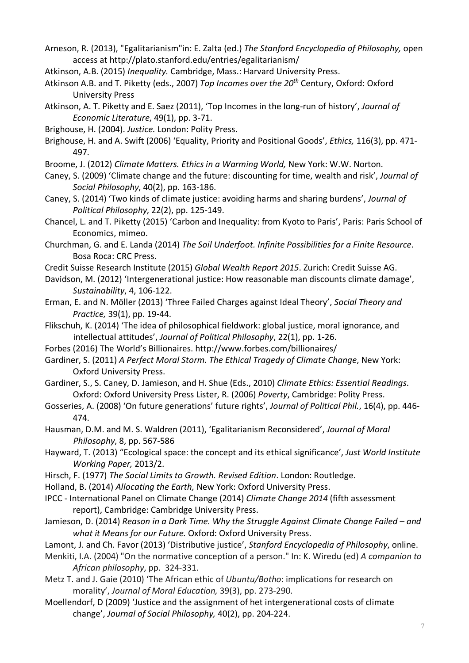Arneson, R. (2013), "Egalitarianism"in: E. Zalta (ed.) *The Stanford Encyclopedia of Philosophy,* open access at http://plato.stanford.edu/entries/egalitarianism/

- Atkinson, A.B. (2015) *Inequality.* Cambridge, Mass.: Harvard University Press.
- Atkinson A.B. and T. Piketty (eds., 2007) *Top Incomes over the 20th* Century, Oxford: Oxford University Press
- Atkinson, A. T. Piketty and E. Saez (2011), 'Top Incomes in the long-run of history', *Journal of Economic Literature*, 49(1), pp. 3-71.
- Brighouse, H. (2004). *Justice.* London: Polity Press.
- Brighouse, H. and A. Swift (2006) 'Equality, Priority and Positional Goods', *Ethics,* 116(3), pp. 471- 497.
- Broome, J. (2012) *Climate Matters. Ethics in a Warming World,* New York: W.W. Norton.
- Caney, S. (2009) 'Climate change and the future: discounting for time, wealth and risk', *Journal of Social Philosophy*, 40(2), pp. 163-186.
- Caney, S. (2014) 'Two kinds of climate justice: avoiding harms and sharing burdens', *Journal of Political Philosophy*, 22(2), pp. 125-149.
- Chancel, L. and T. Piketty (2015) 'Carbon and Inequality: from Kyoto to Paris', Paris: Paris School of Economics, mimeo.
- Churchman, G. and E. Landa (2014) *The Soil Underfoot. Infinite Possibilities for a Finite Resource*. Bosa Roca: CRC Press.
- Credit Suisse Research Institute (2015) *Global Wealth Report 2015*. Zurich: Credit Suisse AG.
- Davidson, M. (2012) 'Intergenerational justice: How reasonable man discounts climate damage', *Sustainability*, 4, 106-122.
- Erman, E. and N. Möller (2013) 'Three Failed Charges against Ideal Theory', *Social Theory and Practice,* 39(1), pp. 19-44.
- Flikschuh, K. (2014) 'The idea of philosophical fieldwork: global justice, moral ignorance, and intellectual attitudes', *Journal of Political Philosophy*, 22(1), pp. 1-26.
- Forbes (2016) The World's Billionaires. http://www.forbes.com/billionaires/
- Gardiner, S. (2011) *A Perfect Moral Storm. The Ethical Tragedy of Climate Change*, New York: Oxford University Press.
- Gardiner, S., S. Caney, D. Jamieson, and H. Shue (Eds., 2010) *Climate Ethics: Essential Readings*. Oxford: Oxford University Press Lister, R. (2006) *Poverty*, Cambridge: Polity Press.
- Gosseries, A. (2008) 'On future generations' future rights', *Journal of Political Phil.*, 16(4), pp. 446- 474.
- Hausman, D.M. and M. S. Waldren (2011), 'Egalitarianism Reconsidered', *Journal of Moral Philosophy*, 8, pp. 567-586
- Hayward, T. (2013) "Ecological space: the concept and its ethical significance', *Just World Institute Working Paper,* 2013/2.
- Hirsch, F. (1977) *The Social Limits to Growth. Revised Edition*. London: Routledge.
- Holland, B. (2014) *Allocating the Earth,* New York: Oxford University Press.
- IPCC International Panel on Climate Change (2014) *Climate Change 2014* (fifth assessment report), Cambridge: Cambridge University Press.
- Jamieson, D. (2014) *Reason in a Dark Time. Why the Struggle Against Climate Change Failed – and what it Means for our Future.* Oxford: Oxford University Press.
- Lamont, J. and Ch. Favor (2013) 'Distributive justice', *Stanford Encyclopedia of Philosophy*, online.
- Menkiti, I.A. (2004) "On the normative conception of a person." In: K. Wiredu (ed) *A companion to African philosophy*, pp. 324-331.
- Metz T. and J. Gaie (2010) 'The African ethic of *Ubuntu/Botho*: implications for research on morality', *Journal of Moral Education,* 39(3), pp. 273-290.
- Moellendorf, D (2009) 'Justice and the assignment of het intergenerational costs of climate change', *Journal of Social Philosophy,* 40(2), pp. 204-224.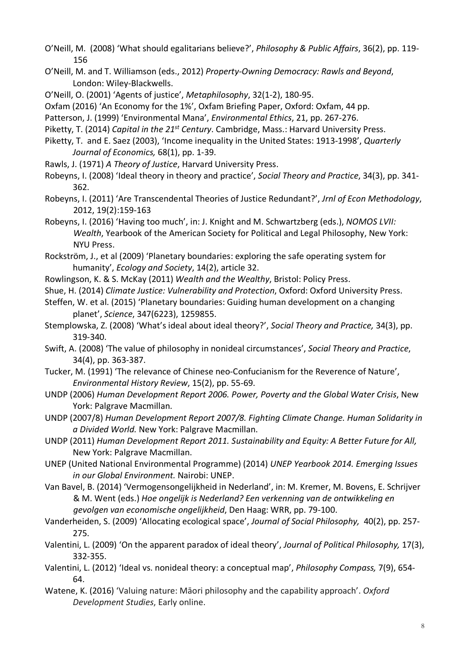- O'Neill, M. (2008) 'What should egalitarians believe?', *Philosophy & Public Affairs*, 36(2), pp. 119- 156
- O'Neill, M. and T. Williamson (eds., 2012) *Property-Owning Democracy: Rawls and Beyond*, London: Wiley-Blackwells.
- O'Neill, O. (2001) 'Agents of justice', *Metaphilosophy*, 32(1-2), 180-95.
- Oxfam (2016) 'An Economy for the 1%', Oxfam Briefing Paper, Oxford: Oxfam, 44 pp.
- Patterson, J. (1999) 'Environmental Mana', *Environmental Ethics*, 21, pp. 267-276.
- Piketty, T. (2014) *Capital in the 21st Century*. Cambridge, Mass.: Harvard University Press.
- Piketty, T. and E. Saez (2003), 'Income inequality in the United States: 1913-1998', *Quarterly Journal of Economics,* 68(1), pp. 1-39.
- Rawls, J. (1971) *A Theory of Justice*, Harvard University Press.
- Robeyns, I. (2008) 'Ideal theory in theory and practice', *Social Theory and Practice*, 34(3), pp. 341- 362.
- Robeyns, I. (2011) 'Are Transcendental Theories of Justice Redundant?', *Jrnl of Econ Methodology*, 2012, 19(2):159-163
- Robeyns, I. (2016) 'Having too much', in: J. Knight and M. Schwartzberg (eds.), *NOMOS LVII: Wealth*, Yearbook of the American Society for Political and Legal Philosophy, New York: NYU Press.
- Rockström, J., et al (2009) 'Planetary boundaries: exploring the safe operating system for humanity', *Ecology and Society*, 14(2), article 32.
- Rowlingson, K. & S. McKay (2011) *Wealth and the Wealthy*, Bristol: Policy Press.
- Shue, H. (2014) *Climate Justice: Vulnerability and Protection*, Oxford: Oxford University Press.
- Steffen, W. et al. (2015) 'Planetary boundaries: Guiding human development on a changing planet', *Science*, 347(6223), 1259855.
- Stemplowska, Z. (2008) 'What's ideal about ideal theory?', *Social Theory and Practice,* 34(3), pp. 319-340.
- Swift, A. (2008) 'The value of philosophy in nonideal circumstances', *Social Theory and Practice*, 34(4), pp. 363-387.
- Tucker, M. (1991) 'The relevance of Chinese neo-Confucianism for the Reverence of Nature', *Environmental History Review*, 15(2), pp. 55-69.
- UNDP (2006) *Human Development Report 2006. Power, Poverty and the Global Water Crisis*, New York: Palgrave Macmillan.
- UNDP (2007/8) *Human Development Report 2007/8. Fighting Climate Change. Human Solidarity in a Divided World.* New York: Palgrave Macmillan.
- UNDP (2011) *Human Development Report 2011. Sustainability and Equity: A Better Future for All,*  New York: Palgrave Macmillan.
- UNEP (United National Environmental Programme) (2014) *UNEP Yearbook 2014. Emerging Issues in our Global Environment.* Nairobi: UNEP.
- Van Bavel, B. (2014) 'Vermogensongelijkheid in Nederland', in: M. Kremer, M. Bovens, E. Schrijver & M. Went (eds.) *Hoe ongelijk is Nederland? Een verkenning van de ontwikkeling en gevolgen van economische ongelijkheid*, Den Haag: WRR, pp. 79-100.
- Vanderheiden, S. (2009) 'Allocating ecological space', *Journal of Social Philosophy,* 40(2), pp. 257- 275.
- Valentini, L. (2009) 'On the apparent paradox of ideal theory', *Journal of Political Philosophy,* 17(3), 332-355.
- Valentini, L. (2012) 'Ideal vs. nonideal theory: a conceptual map', *Philosophy Compass,* 7(9), 654- 64.
- Watene, K. (2016) 'Valuing nature: Māori philosophy and the capability approach'. *Oxford Development Studies*, Early online.